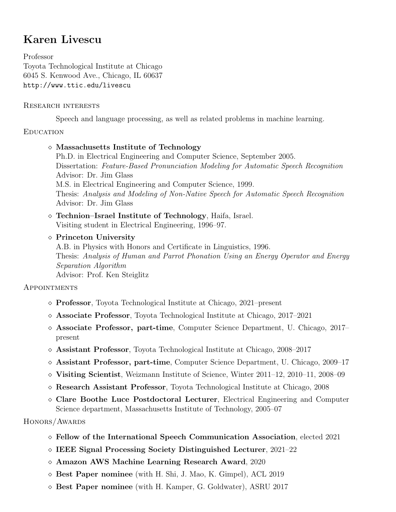# Karen Livescu

Professor Toyota Technological Institute at Chicago 6045 S. Kenwood Ave., Chicago, IL 60637 http://www.ttic.edu/livescu

### Research interests

Speech and language processing, as well as related problems in machine learning.

# **EDUCATION**

Massachusetts Institute of Technology

Ph.D. in Electrical Engineering and Computer Science, September 2005. Dissertation: Feature-Based Pronunciation Modeling for Automatic Speech Recognition Advisor: Dr. Jim Glass M.S. in Electrical Engineering and Computer Science, 1999. Thesis: Analysis and Modeling of Non-Native Speech for Automatic Speech Recognition Advisor: Dr. Jim Glass

 Technion–Israel Institute of Technology, Haifa, Israel. Visiting student in Electrical Engineering, 1996–97.

### $\diamond$  Princeton University

A.B. in Physics with Honors and Certificate in Linguistics, 1996. Thesis: Analysis of Human and Parrot Phonation Using an Energy Operator and Energy Separation Algorithm Advisor: Prof. Ken Steiglitz

# **APPOINTMENTS**

- Professor, Toyota Technological Institute at Chicago, 2021–present
- $\Diamond$  Associate Professor, Toyota Technological Institute at Chicago, 2017–2021
- $\Diamond$  Associate Professor, part-time, Computer Science Department, U. Chicago, 2017– present
- $\Diamond$  Assistant Professor, Toyota Technological Institute at Chicago, 2008–2017
- Assistant Professor, part-time, Computer Science Department, U. Chicago, 2009–17
- $\Diamond$  Visiting Scientist, Weizmann Institute of Science, Winter 2011–12, 2010–11, 2008–09
- $\diamond$  Research Assistant Professor, Toyota Technological Institute at Chicago, 2008
- $\Diamond$  Clare Boothe Luce Postdoctoral Lecturer, Electrical Engineering and Computer Science department, Massachusetts Institute of Technology, 2005–07

# HONORS/AWARDS

- Fellow of the International Speech Communication Association, elected 2021
- $\Diamond$  IEEE Signal Processing Society Distinguished Lecturer, 2021–22
- Amazon AWS Machine Learning Research Award, 2020
- $\diamond$  Best Paper nominee (with H. Shi, J. Mao, K. Gimpel), ACL 2019
- $\diamond$  Best Paper nominee (with H. Kamper, G. Goldwater), ASRU 2017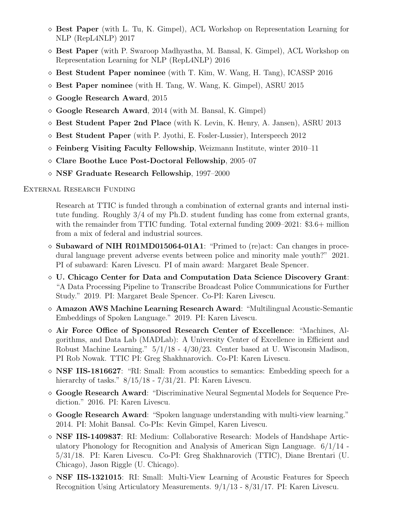- $\Diamond$  Best Paper (with L. Tu, K. Gimpel), ACL Workshop on Representation Learning for NLP (RepL4NLP) 2017
- $\Diamond$  Best Paper (with P. Swaroop Madhyastha, M. Bansal, K. Gimpel), ACL Workshop on Representation Learning for NLP (RepL4NLP) 2016
- $\Diamond$  Best Student Paper nominee (with T. Kim, W. Wang, H. Tang), ICASSP 2016
- $\diamond$  Best Paper nominee (with H. Tang, W. Wang, K. Gimpel), ASRU 2015
- $\diamond$  Google Research Award, 2015
- $\Diamond$  Google Research Award, 2014 (with M. Bansal, K. Gimpel)
- $\Diamond$  Best Student Paper 2nd Place (with K. Levin, K. Henry, A. Jansen), ASRU 2013
- $\Diamond$  Best Student Paper (with P. Jyothi, E. Fosler-Lussier), Interspeech 2012
- $\diamond$  Feinberg Visiting Faculty Fellowship, Weizmann Institute, winter 2010–11
- $\diamond$  Clare Boothe Luce Post-Doctoral Fellowship, 2005–07
- NSF Graduate Research Fellowship, 1997–2000

External Research Funding

Research at TTIC is funded through a combination of external grants and internal institute funding. Roughly 3/4 of my Ph.D. student funding has come from external grants, with the remainder from TTIC funding. Total external funding 2009–2021: \$3.6+ million from a mix of federal and industrial sources.

- $\Diamond$  Subaward of NIH R01MD015064-01A1: "Primed to (re)act: Can changes in procedural language prevent adverse events between police and minority male youth?" 2021. PI of subaward: Karen Livescu. PI of main award: Margaret Beale Spencer.
- U. Chicago Center for Data and Computation Data Science Discovery Grant: "A Data Processing Pipeline to Transcribe Broadcast Police Communications for Further Study." 2019. PI: Margaret Beale Spencer. Co-PI: Karen Livescu.
- Amazon AWS Machine Learning Research Award: "Multilingual Acoustic-Semantic Embeddings of Spoken Language." 2019. PI: Karen Livescu.
- Air Force Office of Sponsored Research Center of Excellence: "Machines, Algorithms, and Data Lab (MADLab): A University Center of Excellence in Efficient and Robust Machine Learning." 5/1/18 - 4/30/23. Center based at U. Wisconsin Madison, PI Rob Nowak. TTIC PI: Greg Shakhnarovich. Co-PI: Karen Livescu.
- $\Diamond$  **NSF IIS-1816627**: "RI: Small: From acoustics to semantics: Embedding speech for a hierarchy of tasks."  $8/15/18 - 7/31/21$ . PI: Karen Livescu.
- Google Research Award: "Discriminative Neural Segmental Models for Sequence Prediction." 2016. PI: Karen Livescu.
- $\Diamond$  Google Research Award: "Spoken language understanding with multi-view learning." 2014. PI: Mohit Bansal. Co-PIs: Kevin Gimpel, Karen Livescu.
- NSF IIS-1409837: RI: Medium: Collaborative Research: Models of Handshape Articulatory Phonology for Recognition and Analysis of American Sign Language. 6/1/14 - 5/31/18. PI: Karen Livescu. Co-PI: Greg Shakhnarovich (TTIC), Diane Brentari (U. Chicago), Jason Riggle (U. Chicago).
- $\Diamond$  **NSF IIS-1321015**: RI: Small: Multi-View Learning of Acoustic Features for Speech Recognition Using Articulatory Measurements. 9/1/13 - 8/31/17. PI: Karen Livescu.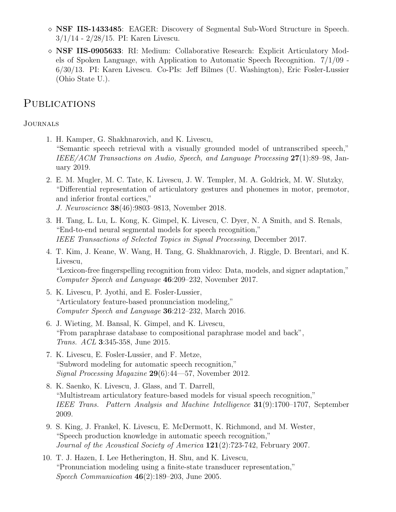- $\Diamond$  **NSF IIS-1433485**: EAGER: Discovery of Segmental Sub-Word Structure in Speech. 3/1/14 - 2/28/15. PI: Karen Livescu.
- $\Diamond$  **NSF IIS-0905633**: RI: Medium: Collaborative Research: Explicit Articulatory Models of Spoken Language, with Application to Automatic Speech Recognition. 7/1/09 - 6/30/13. PI: Karen Livescu. Co-PIs: Jeff Bilmes (U. Washington), Eric Fosler-Lussier (Ohio State U.).

# **PUBLICATIONS**

### **JOURNALS**

- 1. H. Kamper, G. Shakhnarovich, and K. Livescu, "Semantic speech retrieval with a visually grounded model of untranscribed speech," IEEE/ACM Transactions on Audio, Speech, and Language Processing 27(1):89–98, January 2019.
- 2. E. M. Mugler, M. C. Tate, K. Livescu, J. W. Templer, M. A. Goldrick, M. W. Slutzky, "Differential representation of articulatory gestures and phonemes in motor, premotor, and inferior frontal cortices," J. Neuroscience 38(46):9803–9813, November 2018.
- 3. H. Tang, L. Lu, L. Kong, K. Gimpel, K. Livescu, C. Dyer, N. A Smith, and S. Renals, "End-to-end neural segmental models for speech recognition," IEEE Transactions of Selected Topics in Signal Processing, December 2017.
- 4. T. Kim, J. Keane, W. Wang, H. Tang, G. Shakhnarovich, J. Riggle, D. Brentari, and K. Livescu, "Lexicon-free fingerspelling recognition from video: Data, models, and signer adaptation," Computer Speech and Language 46:209–232, November 2017.
- 5. K. Livescu, P. Jyothi, and E. Fosler-Lussier, "Articulatory feature-based pronunciation modeling," Computer Speech and Language 36:212–232, March 2016.
- 6. J. Wieting, M. Bansal, K. Gimpel, and K. Livescu, "From paraphrase database to compositional paraphrase model and back", Trans. ACL 3:345-358, June 2015.
- 7. K. Livescu, E. Fosler-Lussier, and F. Metze, "Subword modeling for automatic speech recognition," Signal Processing Magazine 29(6):44—57, November 2012.
- 8. K. Saenko, K. Livescu, J. Glass, and T. Darrell, "Multistream articulatory feature-based models for visual speech recognition," IEEE Trans. Pattern Analysis and Machine Intelligence 31(9):1700–1707, September 2009.
- 9. S. King, J. Frankel, K. Livescu, E. McDermott, K. Richmond, and M. Wester, "Speech production knowledge in automatic speech recognition," Journal of the Acoustical Society of America  $121(2)$ :723-742, February 2007.
- 10. T. J. Hazen, I. Lee Hetherington, H. Shu, and K. Livescu, "Pronunciation modeling using a finite-state transducer representation," Speech Communication 46(2):189–203, June 2005.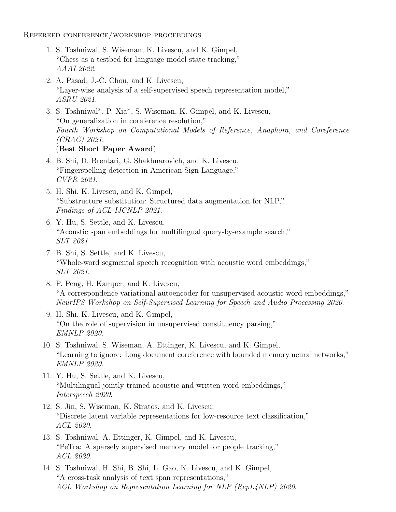Refereed conference/workshop proceedings

- 1. S. Toshniwal, S. Wiseman, K. Livescu, and K. Gimpel, "Chess as a testbed for language model state tracking," AAAI 2022.
- 2. A. Pasad, J.-C. Chou, and K. Livescu, "Layer-wise analysis of a self-supervised speech representation model," ASRU 2021.
- 3. S. Toshniwal\*, P. Xia\*, S. Wiseman, K. Gimpel, and K. Livescu, "On generalization in coreference resolution," Fourth Workshop on Computational Models of Reference, Anaphora, and Coreference (CRAC) 2021. (Best Short Paper Award)
- 4. B. Shi, D. Brentari, G. Shakhnarovich, and K. Livescu, "Fingerspelling detection in American Sign Language," CVPR 2021.
- 5. H. Shi, K. Livescu, and K. Gimpel, "Substructure substitution: Structured data augmentation for NLP," Findings of ACL-IJCNLP 2021.
- 6. Y. Hu, S. Settle, and K. Livescu, "Acoustic span embeddings for multilingual query-by-example search," SLT 2021.
- 7. B. Shi, S. Settle, and K. Livescu, "Whole-word segmental speech recognition with acoustic word embeddings," SLT 2021.
- 8. P. Peng, H. Kamper, and K. Livescu, "A correspondence variational autoencoder for unsupervised acoustic word embeddings," NeurIPS Workshop on Self-Supervised Learning for Speech and Audio Processing 2020.
- 9. H. Shi, K. Livescu, and K. Gimpel, "On the role of supervision in unsupervised constituency parsing," EMNLP 2020.
- 10. S. Toshniwal, S. Wiseman, A. Ettinger, K. Livescu, and K. Gimpel, "Learning to ignore: Long document coreference with bounded memory neural networks," EMNLP 2020.
- 11. Y. Hu, S. Settle, and K. Livescu, "Multilingual jointly trained acoustic and written word embeddings," Interspeech 2020.
- 12. S. Jin, S. Wiseman, K. Stratos, and K. Livescu, "Discrete latent variable representations for low-resource text classification," ACL 2020.
- 13. S. Toshniwal, A. Ettinger, K. Gimpel, and K. Livescu, "PeTra: A sparsely supervised memory model for people tracking," ACL 2020.
- 14. S. Toshniwal, H. Shi, B. Shi, L. Gao, K. Livescu, and K. Gimpel, "A cross-task analysis of text span representations," ACL Workshop on Representation Learning for NLP (RepL4NLP) 2020.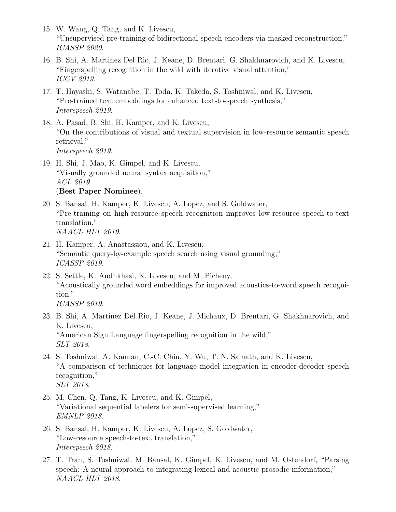- 15. W. Wang, Q. Tang, and K. Livescu, "Unsupervised pre-training of bidirectional speech encoders via masked reconstruction," ICASSP 2020.
- 16. B. Shi, A. Martinez Del Rio, J. Keane, D. Brentari, G. Shakhnarovich, and K. Livescu, "Fingerspelling recognition in the wild with iterative visual attention," ICCV 2019.
- 17. T. Hayashi, S. Watanabe, T. Toda, K. Takeda, S. Toshniwal, and K. Livescu, "Pre-trained text embeddings for enhanced text-to-speech synthesis," Interspeech 2019.
- 18. A. Pasad, B. Shi, H. Kamper, and K. Livescu, "On the contributions of visual and textual supervision in low-resource semantic speech retrieval," Interspeech 2019.
- 19. H. Shi, J. Mao, K. Gimpel, and K. Livescu, "Visually grounded neural syntax acquisition," ACL 2019 (Best Paper Nominee).
- 20. S. Bansal, H. Kamper, K. Livescu, A. Lopez, and S. Goldwater, "Pre-training on high-resource speech recognition improves low-resource speech-to-text translation," NAACL HLT 2019.
- 21. H. Kamper, A. Anastassiou, and K. Livescu, "Semantic query-by-example speech search using visual grounding," ICASSP 2019.
- 22. S. Settle, K. Audhkhasi, K. Livescu, and M. Picheny, "Acoustically grounded word embeddings for improved acoustics-to-word speech recognition," ICASSP 2019.
- 23. B. Shi, A. Martinez Del Rio, J. Keane, J. Michaux, D. Brentari, G. Shakhnarovich, and K. Livescu, "American Sign Language fingerspelling recognition in the wild," SLT 2018.
- 24. S. Toshniwal, A. Kannan, C.-C. Chiu, Y. Wu, T. N. Sainath, and K. Livescu, "A comparison of techniques for language model integration in encoder-decoder speech recognition," SLT 2018.
- 25. M. Chen, Q. Tang, K. Livescu, and K. Gimpel, "Variational sequential labelers for semi-supervised learning," EMNLP 2018.
- 26. S. Bansal, H. Kamper, K. Livescu, A. Lopez, S. Goldwater, "Low-resource speech-to-text translation," Interspeech 2018.
- 27. T. Tran, S. Toshniwal, M. Bansal, K. Gimpel, K. Livescu, and M. Ostendorf, "Parsing speech: A neural approach to integrating lexical and acoustic-prosodic information," NAACL HLT 2018.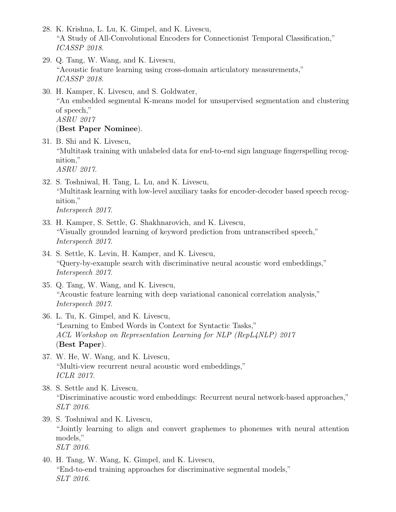- 28. K. Krishna, L. Lu, K. Gimpel, and K. Livescu, "A Study of All-Convolutional Encoders for Connectionist Temporal Classification," ICASSP 2018.
- 29. Q. Tang, W. Wang, and K. Livescu, "Acoustic feature learning using cross-domain articulatory measurements," ICASSP 2018.
- 30. H. Kamper, K. Livescu, and S. Goldwater, "An embedded segmental K-means model for unsupervised segmentation and clustering of speech," ASRU 2017 (Best Paper Nominee).
- 31. B. Shi and K. Livescu, "Multitask training with unlabeled data for end-to-end sign language fingerspelling recognition," ASRU 2017.
- 32. S. Toshniwal, H. Tang, L. Lu, and K. Livescu, "Multitask learning with low-level auxiliary tasks for encoder-decoder based speech recognition,"

Interspeech 2017.

- 33. H. Kamper, S. Settle, G. Shakhnarovich, and K. Livescu, "Visually grounded learning of keyword prediction from untranscribed speech," Interspeech 2017.
- 34. S. Settle, K. Levin, H. Kamper, and K. Livescu, "Query-by-example search with discriminative neural acoustic word embeddings," Interspeech 2017.
- 35. Q. Tang, W. Wang, and K. Livescu, "Acoustic feature learning with deep variational canonical correlation analysis," Interspeech 2017.
- 36. L. Tu, K. Gimpel, and K. Livescu, "Learning to Embed Words in Context for Syntactic Tasks," ACL Workshop on Representation Learning for NLP (RepL4NLP) 2017 (Best Paper).
- 37. W. He, W. Wang, and K. Livescu, "Multi-view recurrent neural acoustic word embeddings," ICLR 2017.
- 38. S. Settle and K. Livescu, "Discriminative acoustic word embeddings: Recurrent neural network-based approaches," SLT 2016.
- 39. S. Toshniwal and K. Livescu, "Jointly learning to align and convert graphemes to phonemes with neural attention models," SLT 2016.
- 40. H. Tang, W. Wang, K. Gimpel, and K. Livescu, "End-to-end training approaches for discriminative segmental models," SLT 2016.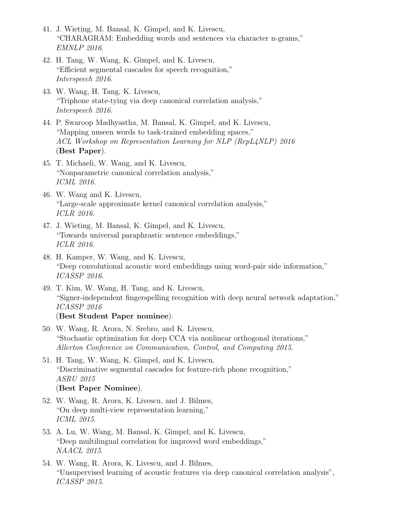- 41. J. Wieting, M. Bansal, K. Gimpel, and K. Livescu, "CHARAGRAM: Embedding words and sentences via character n-grams," EMNLP 2016.
- 42. H. Tang, W. Wang, K. Gimpel, and K. Livescu, "Efficient segmental cascades for speech recognition," Interspeech 2016.
- 43. W. Wang, H. Tang, K. Livescu, "Triphone state-tying via deep canonical correlation analysis," Interspeech 2016.
- 44. P. Swaroop Madhyastha, M. Bansal, K. Gimpel, and K. Livescu, "Mapping unseen words to task-trained embedding spaces," ACL Workshop on Representation Learning for NLP (RepL4NLP) 2016 (Best Paper).
- 45. T. Michaeli, W. Wang, and K. Livescu, "Nonparametric canonical correlation analysis," ICML 2016.
- 46. W. Wang and K. Livescu, "Large-scale approximate kernel canonical correlation analysis," ICLR 2016.
- 47. J. Wieting, M. Bansal, K. Gimpel, and K. Livescu, "Towards universal paraphrastic sentence embeddings," ICLR 2016.
- 48. H. Kamper, W. Wang, and K. Livescu, "Deep convolutional acoustic word embeddings using word-pair side information," ICASSP 2016.
- 49. T. Kim, W. Wang, H. Tang, and K. Livescu, "Signer-independent fingerspelling recognition with deep neural network adaptation," ICASSP 2016 (Best Student Paper nominee).
- 50. W. Wang, R. Arora, N. Srebro, and K. Livescu, "Stochastic optimization for deep CCA via nonlinear orthogonal iterations," Allerton Conference on Communication, Control, and Computing 2015.
- 51. H. Tang, W. Wang, K. Gimpel, and K. Livescu, "Discriminative segmental cascades for feature-rich phone recognition," ASRU 2015 (Best Paper Nominee).
- 52. W. Wang, R. Arora, K. Livescu, and J. Bilmes, "On deep multi-view representation learning," ICML 2015.
- 53. A. Lu, W. Wang, M. Bansal, K. Gimpel, and K. Livescu, "Deep multilingual correlation for improved word embeddings," NAACL 2015.
- 54. W. Wang, R. Arora, K. Livescu, and J. Bilmes, "Unsupervised learning of acoustic features via deep canonical correlation analysis", ICASSP 2015.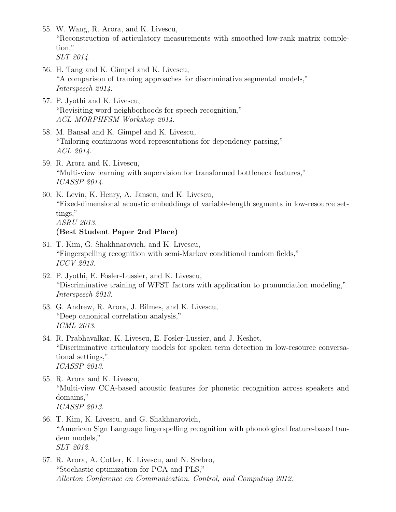- 55. W. Wang, R. Arora, and K. Livescu, "Reconstruction of articulatory measurements with smoothed low-rank matrix completion," SLT 2014.
- 56. H. Tang and K. Gimpel and K. Livescu, "A comparison of training approaches for discriminative segmental models," Interspeech 2014.
- 57. P. Jyothi and K. Livescu, "Revisiting word neighborhoods for speech recognition," ACL MORPHFSM Workshop 2014.
- 58. M. Bansal and K. Gimpel and K. Livescu, "Tailoring continuous word representations for dependency parsing," ACL 2014.
- 59. R. Arora and K. Livescu, "Multi-view learning with supervision for transformed bottleneck features," ICASSP 2014.
- 60. K. Levin, K. Henry, A. Jansen, and K. Livescu, "Fixed-dimensional acoustic embeddings of variable-length segments in low-resource settings," ASRU 2013.

### (Best Student Paper 2nd Place)

- 61. T. Kim, G. Shakhnarovich, and K. Livescu, "Fingerspelling recognition with semi-Markov conditional random fields," ICCV 2013.
- 62. P. Jyothi, E. Fosler-Lussier, and K. Livescu, "Discriminative training of WFST factors with application to pronunciation modeling," Interspeech 2013.
- 63. G. Andrew, R. Arora, J. Bilmes, and K. Livescu, "Deep canonical correlation analysis," ICML 2013.
- 64. R. Prabhavalkar, K. Livescu, E. Fosler-Lussier, and J. Keshet, "Discriminative articulatory models for spoken term detection in low-resource conversational settings," ICASSP 2013.
- 65. R. Arora and K. Livescu, "Multi-view CCA-based acoustic features for phonetic recognition across speakers and domains," ICASSP 2013.
- 66. T. Kim, K. Livescu, and G. Shakhnarovich, "American Sign Language fingerspelling recognition with phonological feature-based tandem models," SLT 2012.
- 67. R. Arora, A. Cotter, K. Livescu, and N. Srebro, "Stochastic optimization for PCA and PLS," Allerton Conference on Communication, Control, and Computing 2012.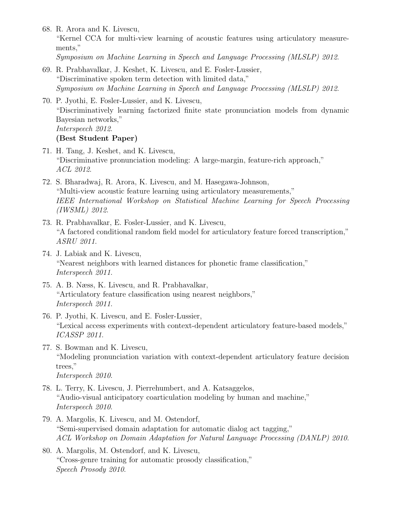68. R. Arora and K. Livescu,

"Kernel CCA for multi-view learning of acoustic features using articulatory measurements,"

Symposium on Machine Learning in Speech and Language Processing (MLSLP) 2012.

- 69. R. Prabhavalkar, J. Keshet, K. Livescu, and E. Fosler-Lussier, "Discriminative spoken term detection with limited data," Symposium on Machine Learning in Speech and Language Processing (MLSLP) 2012.
- 70. P. Jyothi, E. Fosler-Lussier, and K. Livescu, "Discriminatively learning factorized finite state pronunciation models from dynamic Bayesian networks," Interspeech 2012. (Best Student Paper)
- 71. H. Tang, J. Keshet, and K. Livescu, "Discriminative pronunciation modeling: A large-margin, feature-rich approach," ACL 2012.
- 72. S. Bharadwaj, R. Arora, K. Livescu, and M. Hasegawa-Johnson, "Multi-view acoustic feature learning using articulatory measurements," IEEE International Workshop on Statistical Machine Learning for Speech Processing (IWSML) 2012.
- 73. R. Prabhavalkar, E. Fosler-Lussier, and K. Livescu, "A factored conditional random field model for articulatory feature forced transcription," ASRU 2011.
- 74. J. Labiak and K. Livescu, "Nearest neighbors with learned distances for phonetic frame classification," Interspeech 2011.
- 75. A. B. Næss, K. Livescu, and R. Prabhavalkar, "Articulatory feature classification using nearest neighbors," Interspeech 2011.
- 76. P. Jyothi, K. Livescu, and E. Fosler-Lussier, "Lexical access experiments with context-dependent articulatory feature-based models," ICASSP 2011.
- 77. S. Bowman and K. Livescu, "Modeling pronunciation variation with context-dependent articulatory feature decision trees," Interspeech 2010.
- 78. L. Terry, K. Livescu, J. Pierrehumbert, and A. Katsaggelos, "Audio-visual anticipatory coarticulation modeling by human and machine," Interspeech 2010.
- 79. A. Margolis, K. Livescu, and M. Ostendorf, "Semi-supervised domain adaptation for automatic dialog act tagging," ACL Workshop on Domain Adaptation for Natural Language Processing (DANLP) 2010.
- 80. A. Margolis, M. Ostendorf, and K. Livescu, "Cross-genre training for automatic prosody classification," Speech Prosody 2010.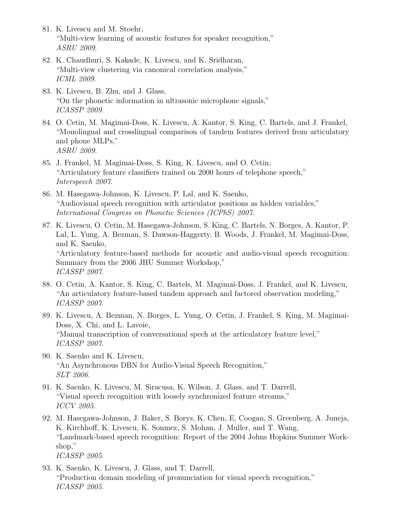- 81. K. Livescu and M. Stoehr, "Multi-view learning of acoustic features for speaker recognition," ASRU 2009.
- 82. K. Chaudhuri, S. Kakade, K. Livescu, and K. Sridharan, "Multi-view clustering via canonical correlation analysis," ICML 2009.
- 83. K. Livescu, B. Zhu, and J. Glass, "On the phonetic information in ultrasonic microphone signals," ICASSP 2009.
- 84. O. Cetin, M. Magimai-Doss, K. Livescu, A. Kantor, S. King, C. Bartels, and J. Frankel, "Monolingual and crosslingual comparison of tandem features derived from articulatory and phone MLPs," ASRU 2009.
- 85. J. Frankel, M. Magimai-Doss, S. King, K. Livescu, and O. Cetin, "Articulatory feature classifiers trained on 2000 hours of telephone speech," Interspeech 2007.
- 86. M. Hasegawa-Johnson, K. Livescu, P. Lal, and K. Saenko, "Audiovisual speech recognition with articulator positions as hidden variables," International Congress on Phonetic Sciences (ICPhS) 2007.
- 87. K. Livescu, O. Cetin, M. Hasegawa-Johnson, S. King, C. Bartels, N. Borges, A. Kantor, P. Lal, L. Yung, A. Bezman, S. Dawson-Haggerty, B. Woods, J. Frankel, M. Magimai-Doss, and K. Saenko, "Articulatory feature-based methods for acoustic and audio-visual speech recognition: Summary from the 2006 JHU Summer Workshop," ICASSP 2007.
- 88. O. Cetin, A. Kantor, S. King, C. Bartels, M. Magimai-Doss, J. Frankel, and K. Livescu, "An articulatory feature-based tandem approach and factored observation modeling," ICASSP 2007.
- 89. K. Livescu, A. Bezman, N. Borges, L. Yung, O. Cetin, J. Frankel, S. King, M. Magimai-Doss, X. Chi, and L. Lavoie, "Manual transcription of conversational spech at the articulatory feature level," ICASSP 2007.
- 90. K. Saenko and K. Livescu, "An Asynchronous DBN for Audio-Visual Speech Recognition," SLT 2006.
- 91. K. Saenko, K. Livescu, M. Siracusa, K. Wilson, J. Glass, and T. Darrell, "Visual speech recognition with loosely synchronized feature streams," ICCV 2005.
- 92. M. Hasegawa-Johnson, J. Baker, S. Borys, K. Chen, E. Coogan, S. Greenberg, A. Juneja, K. Kirchhoff, K. Livescu, K. Sonmez, S. Mohan, J. Muller, and T. Wang, "Landmark-based speech recognition: Report of the 2004 Johns Hopkins Summer Workshop," ICASSP 2005.
- 93. K. Saenko, K. Livescu, J. Glass, and T. Darrell, "Production domain modeling of pronunciation for visual speech recognition," ICASSP 2005.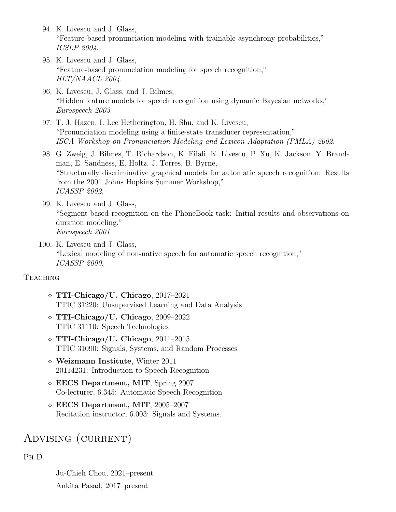- 94. K. Livescu and J. Glass, "Feature-based pronunciation modeling with trainable asynchrony probabilities," ICSLP 2004.
- 95. K. Livescu and J. Glass, "Feature-based pronunciation modeling for speech recognition," HLT/NAACL 2004.
- 96. K. Livescu, J. Glass, and J. Bilmes, "Hidden feature models for speech recognition using dynamic Bayesian networks," Eurospeech 2003.
- 97. T. J. Hazen, I. Lee Hetherington, H. Shu, and K. Livescu, "Pronunciation modeling using a finite-state transducer representation," ISCA Workshop on Pronunciation Modeling and Lexicon Adaptation (PMLA) 2002.
- 98. G. Zweig, J. Bilmes, T. Richardson, K. Filali, K. Livescu, P. Xu, K. Jackson, Y. Brandman, E. Sandness, E. Holtz, J. Torres, B. Byrne, "Structurally discriminative graphical models for automatic speech recognition: Results from the 2001 Johns Hopkins Summer Workshop," ICASSP 2002.
- 99. K. Livescu and J. Glass, "Segment-based recognition on the PhoneBook task: Initial results and observations on duration modeling," Eurospeech 2001.
- 100. K. Livescu and J. Glass, "Lexical modeling of non-native speech for automatic speech recognition," ICASSP 2000.

### **TEACHING**

- TTI-Chicago/U. Chicago, 2017–2021 TTIC 31220: Unsupervised Learning and Data Analysis
- TTI-Chicago/U. Chicago, 2009–2022 TTIC 31110: Speech Technologies
- $\Diamond$  TTI-Chicago/U. Chicago, 2011–2015 TTIC 31090: Signals, Systems, and Random Processes
- Weizmann Institute, Winter 2011 20114231: Introduction to Speech Recognition
- EECS Department, MIT, Spring 2007 Co-lecturer, 6.345: Automatic Speech Recognition
- EECS Department, MIT, 2005–2007 Recitation instructor, 6.003: Signals and Systems.

# ADVISING (CURRENT)

Ph.D.

Ju-Chieh Chou, 2021–present Ankita Pasad, 2017–present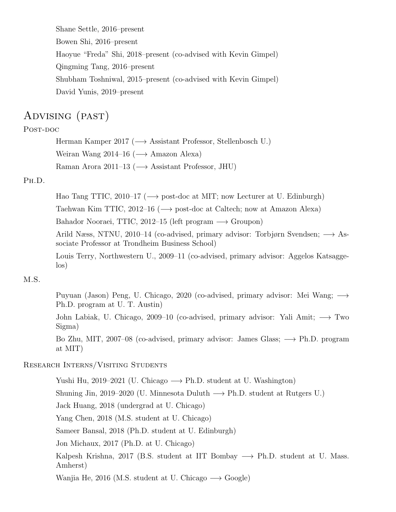Shane Settle, 2016–present Bowen Shi, 2016–present Haoyue "Freda" Shi, 2018–present (co-advised with Kevin Gimpel) Qingming Tang, 2016–present Shubham Toshniwal, 2015–present (co-advised with Kevin Gimpel) David Yunis, 2019–present

# Advising (past)

### Post-doc

Herman Kamper 2017 ( $\longrightarrow$  Assistant Professor, Stellenbosch U.) Weiran Wang 2014–16 ( $\longrightarrow$  Amazon Alexa) Raman Arora 2011–13 ( $\longrightarrow$  Assistant Professor, JHU)

### Ph.D.

Hao Tang TTIC, 2010–17 ( $\longrightarrow$  post-doc at MIT; now Lecturer at U. Edinburgh)

Taehwan Kim TTIC, 2012–16 (−→ post-doc at Caltech; now at Amazon Alexa)

Bahador Nooraei, TTIC, 2012–15 (left program  $\longrightarrow$  Groupon)

Arild Næss, NTNU, 2010–14 (co-advised, primary advisor: Torbjørn Svendsen; −→ Associate Professor at Trondheim Business School)

Louis Terry, Northwestern U., 2009–11 (co-advised, primary advisor: Aggelos Katsaggelos)

### M.S.

Puyuan (Jason) Peng, U. Chicago, 2020 (co-advised, primary advisor: Mei Wang; → Ph.D. program at U. T. Austin)

John Labiak, U. Chicago, 2009–10 (co-advised, primary advisor: Yali Amit; −→ Two Sigma)

Bo Zhu, MIT, 2007–08 (co-advised, primary advisor: James Glass; → Ph.D. program at MIT)

#### Research Interns/Visiting Students

Yushi Hu, 2019–2021 (U. Chicago  $\longrightarrow$  Ph.D. student at U. Washington)

Shuning Jin, 2019–2020 (U. Minnesota Duluth  $\longrightarrow$  Ph.D. student at Rutgers U.)

Jack Huang, 2018 (undergrad at U. Chicago)

Yang Chen, 2018 (M.S. student at U. Chicago)

Sameer Bansal, 2018 (Ph.D. student at U. Edinburgh)

Jon Michaux, 2017 (Ph.D. at U. Chicago)

Kalpesh Krishna, 2017 (B.S. student at IIT Bombay  $\rightarrow$  Ph.D. student at U. Mass. Amherst)

Wanjia He, 2016 (M.S. student at U. Chicago  $\longrightarrow$  Google)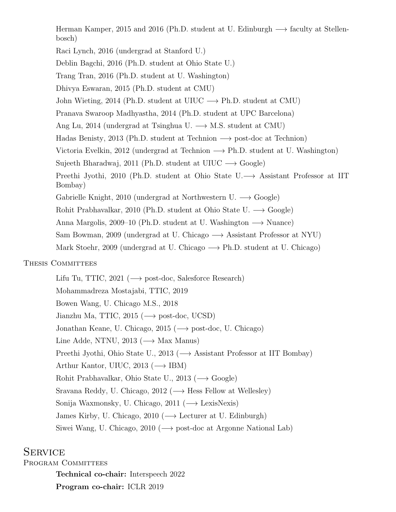Herman Kamper, 2015 and 2016 (Ph.D. student at U. Edinburgh  $\longrightarrow$  faculty at Stellenbosch)

Raci Lynch, 2016 (undergrad at Stanford U.)

Deblin Bagchi, 2016 (Ph.D. student at Ohio State U.)

Trang Tran, 2016 (Ph.D. student at U. Washington)

Dhivya Eswaran, 2015 (Ph.D. student at CMU)

John Wieting, 2014 (Ph.D. student at UIUC  $\longrightarrow$  Ph.D. student at CMU)

Pranava Swaroop Madhyastha, 2014 (Ph.D. student at UPC Barcelona)

Ang Lu, 2014 (undergrad at Tsinghua U.  $\longrightarrow$  M.S. student at CMU)

Hadas Benisty, 2013 (Ph.D. student at Technion  $\rightarrow$  post-doc at Technion)

Victoria Evelkin, 2012 (undergrad at Technion  $\longrightarrow$  Ph.D. student at U. Washington)

Sujeeth Bharadwaj, 2011 (Ph.D. student at UIUC  $\longrightarrow$  Google)

Preethi Jyothi, 2010 (Ph.D. student at Ohio State U.−→ Assistant Professor at IIT Bombay)

Gabrielle Knight, 2010 (undergrad at Northwestern U.  $\longrightarrow$  Google)

Rohit Prabhavalkar, 2010 (Ph.D. student at Ohio State U.  $\longrightarrow$  Google)

Anna Margolis, 2009–10 (Ph.D. student at U. Washington  $\longrightarrow$  Nuance)

Sam Bowman, 2009 (undergrad at U. Chicago −→ Assistant Professor at NYU)

Mark Stoehr, 2009 (undergrad at U. Chicago  $\longrightarrow$  Ph.D. student at U. Chicago)

### THESIS COMMITTEES

Lifu Tu, TTIC, 2021 ( $\longrightarrow$  post-doc, Salesforce Research) Mohammadreza Mostajabi, TTIC, 2019 Bowen Wang, U. Chicago M.S., 2018 Jianzhu Ma, TTIC, 2015 ( $\longrightarrow$  post-doc, UCSD) Jonathan Keane, U. Chicago, 2015 ( $\longrightarrow$  post-doc, U. Chicago) Line Adde, NTNU, 2013 ( $\longrightarrow$  Max Manus) Preethi Jyothi, Ohio State U., 2013 (→ Assistant Professor at IIT Bombay) Arthur Kantor, UIUC, 2013 ( $\longrightarrow$  IBM) Rohit Prabhavalkar, Ohio State U., 2013 ( $\longrightarrow$  Google) Sravana Reddy, U. Chicago, 2012 ( $\longrightarrow$  Hess Fellow at Wellesley) Sonija Waxmonsky, U. Chicago, 2011 ( $\longrightarrow$  LexisNexis) James Kirby, U. Chicago, 2010 ( $\longrightarrow$  Lecturer at U. Edinburgh) Siwei Wang, U. Chicago, 2010 ( $\longrightarrow$  post-doc at Argonne National Lab)

# **SERVICE**

PROGRAM COMMITTEES

Technical co-chair: Interspeech 2022 Program co-chair: ICLR 2019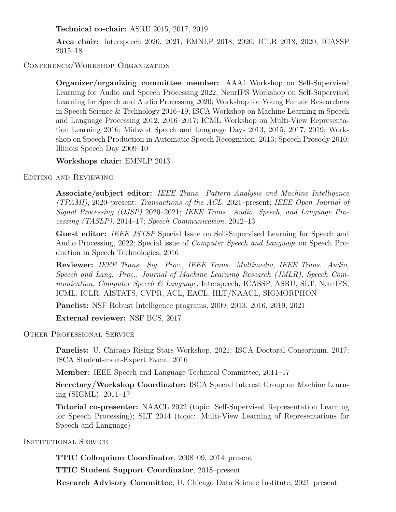Technical co-chair: ASRU 2015, 2017, 2019

Area chair: Interspeech 2020, 2021; EMNLP 2018, 2020; ICLR 2018, 2020; ICASSP 2015–18

### Conference/Workshop Organization

Organizer/organizing committee member: AAAI Workshop on Self-Supervised Learning for Audio and Speech Processing 2022; NeurIPS Workshop on Self-Supervised Learning for Speech and Audio Processing 2020; Workshop for Young Female Researchers in Speech Science & Technology 2016–19; ISCA Workshop on Machine Learning in Speech and Language Processing 2012, 2016–2017; ICML Workshop on Multi-View Representation Learning 2016; Midwest Speech and Language Days 2013, 2015, 2017, 2019; Workshop on Speech Production in Automatic Speech Recognition, 2013; Speech Prosody 2010; Illinois Speech Day 2009–10

#### Workshops chair: EMNLP 2013

Editing and Reviewing

Associate/subject editor: IEEE Trans. Pattern Analysis and Machine Intelligence (TPAMI), 2020–present; Transactions of the ACL, 2021–present; IEEE Open Journal of Signal Processing (OJSP) 2020–2021; IEEE Trans. Audio, Speech, and Language Processing (TASLP), 2014–17; Speech Communication, 2012–13

Guest editor: IEEE JSTSP Special Issue on Self-Supervised Learning for Speech and Audio Processing, 2022; Special issue of Computer Speech and Language on Speech Production in Speech Technologies, 2016

Reviewer: IEEE Trans. Sig. Proc., IEEE Trans. Multimedia, IEEE Trans. Audio, Speech and Lang. Proc., Journal of Machine Learning Research (JMLR), Speech Communication, Computer Speech & Language, Interspeech, ICASSP, ASRU, SLT, NeurIPS, ICML, ICLR, AISTATS, CVPR, ACL, EACL, HLT/NAACL, SIGMORPHON

Panelist: NSF Robust Intelligence programs, 2009, 2013, 2016, 2019, 2021

External reviewer: NSF BCS, 2017

Other Professional Service

Panelist: U. Chicago Rising Stars Workshop, 2021; ISCA Doctoral Consortium, 2017; ISCA Student-meet-Expert Event, 2016

Member: IEEE Speech and Language Technical Committee, 2011–17

Secretary/Workshop Coordinator: ISCA Special Interest Group on Machine Learning (SIGML), 2011–17

Tutorial co-presenter: NAACL 2022 (topic: Self-Supervised Representation Learning for Speech Processing); SLT 2014 (topic: Multi-View Learning of Representations for Speech and Language)

INSTITUTIONAL SERVICE

TTIC Colloquium Coordinator, 2008–09, 2014–present

TTIC Student Support Coordinator, 2018–present

Research Advisory Committee, U. Chicago Data Science Institute, 2021–present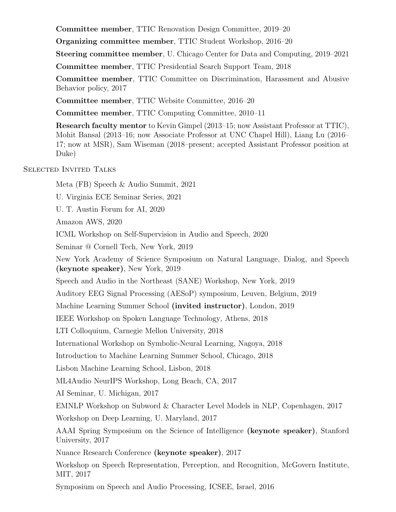Committee member, TTIC Renovation Design Committee, 2019–20

Organizing committee member, TTIC Student Workshop, 2016–20

Steering committee member, U. Chicago Center for Data and Computing, 2019–2021

Committee member, TTIC Presidential Search Support Team, 2018

Committee member, TTIC Committee on Discrimination, Harassment and Abusive Behavior policy, 2017

Committee member, TTIC Website Committee, 2016–20

Committee member, TTIC Computing Committee, 2010–11

Research faculty mentor to Kevin Gimpel (2013–15; now Assistant Professor at TTIC), Mohit Bansal (2013–16; now Associate Professor at UNC Chapel Hill), Liang Lu (2016– 17; now at MSR), Sam Wiseman (2018–present; accepted Assistant Professor position at Duke)

### Selected Invited Talks

Meta (FB) Speech & Audio Summit, 2021

U. Virginia ECE Seminar Series, 2021

U. T. Austin Forum for AI, 2020

Amazon AWS, 2020

ICML Workshop on Self-Supervision in Audio and Speech, 2020

Seminar @ Cornell Tech, New York, 2019

New York Academy of Science Symposium on Natural Language, Dialog, and Speech (keynote speaker), New York, 2019

Speech and Audio in the Northeast (SANE) Workshop, New York, 2019

Auditory EEG Signal Processing (AESoP) symposium, Leuven, Belgium, 2019

Machine Learning Summer School (invited instructor), London, 2019

IEEE Workshop on Spoken Language Technology, Athens, 2018

LTI Colloquium, Carnegie Mellon University, 2018

International Workshop on Symbolic-Neural Learning, Nagoya, 2018

Introduction to Machine Learning Summer School, Chicago, 2018

Lisbon Machine Learning School, Lisbon, 2018

ML4Audio NeurIPS Workshop, Long Beach, CA, 2017

AI Seminar, U. Michigan, 2017

EMNLP Workshop on Subword & Character Level Models in NLP, Copenhagen, 2017

Workshop on Deep Learning, U. Maryland, 2017

AAAI Spring Symposium on the Science of Intelligence (keynote speaker), Stanford University, 2017

Nuance Research Conference (keynote speaker), 2017

Workshop on Speech Representation, Perception, and Recognition, McGovern Institute, MIT, 2017

Symposium on Speech and Audio Processing, ICSEE, Israel, 2016